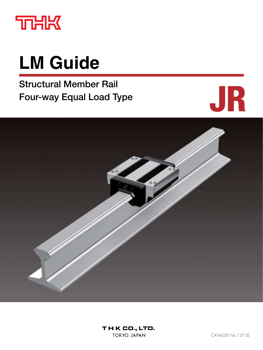

# **LM Guide**

**Structural Member Rail Four-way Equal Load Type**



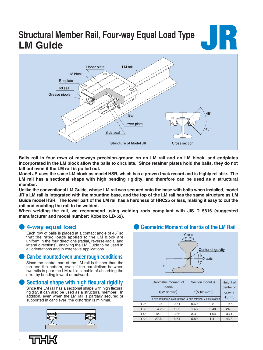# **Structural Member Rail, Four-way Equal Load Type LM Guide JR**



**Balls roll in four rows of raceways precision-ground on an LM rail and an LM block, and endplates incorporated in the LM block allow the balls to circulate. Since retainer plates hold the balls, they do not fall out even if the LM rail is pulled out.**

**Model JR uses the same LM block as model HSR, which has a proven track record and is highly reliable. The LM rail has a sectional shape with high bending rigidity, and therefore can be used as a structural member.**

**Unlike the conventional LM Guide, whose LM rail was secured onto the base with bolts when installed, model JR's LM rail is integrated with the mounting base, and the top of the LM rail has the same structure as LM Guide model HSR. The lower part of the LM rail has a hardness of HRC25 or less, making it easy to cut the rail and enabling the rail to be welded.**

**When welding the rail, we recommend using welding rods compliant with JIS D 5816 (suggested manufacturer and model number: Kobelco LB-52).**

### ● **4-way equal load**

Each row of balls is placed at a contact angle of 45˚ so that the rated loads applied to the LM block are uniform in the four directions (radial, reverse-radial and lateral directions), enabling the LM Guide to be used in all orientations and in extensive applications.

### **Can be mounted even under rough conditions**

Since the central part of the LM rail is thinner than the top and the bottom, even if the parallelism between two rails is poor the LM rail is capable of absorbing the error by bending inward or outward.

### **Sectional shape with high flexural rigidity**

Since the LM rail has a sectional shape with high flexural rigidity, it can also be used as a structural member. In addition, even when the LM rail is partially secured or supported in cantilever, the distortion is minimal.



### **Geometric Moment of Inertia of the LM Rail**



|              | inertia                                                    | Geometric moment of | Section modulus                                                         | Height of<br>center of |       |  |  |
|--------------|------------------------------------------------------------|---------------------|-------------------------------------------------------------------------|------------------------|-------|--|--|
|              | $\left[\right]$ $\times$ 10 <sup>5</sup> mm <sup>4</sup> ] |                     | $Z[\times 10^4 \text{ mm}^3]$                                           | gravity                |       |  |  |
|              |                                                            |                     | $X$ axis rotation $Y$ axis rotation $X$ axis rotation $Y$ axis rotation |                        | H[mm] |  |  |
| JR 25        | 1.9                                                        | 0.51                | 0.69                                                                    | 0.21                   | 19.5  |  |  |
| <b>JR35</b>  | 4.26                                                       | 1.32                | 1.43                                                                    | 0.49                   | 24.3  |  |  |
| <b>JR45</b>  | 12.1                                                       | 3.66                | 3.31                                                                    | 1.04                   | 33.1  |  |  |
| <b>JR 55</b> | 27.6                                                       | 6.54                | 5.89                                                                    | 1.4                    | 43.3  |  |  |

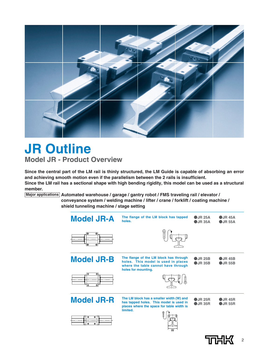

### **JR Outline Model JR - Product Overview**

**Since the central part of the LM rail is thinly structured, the LM Guide is capable of absorbing an error and achieving smooth motion even if the parallelism between the 2 rails is insufficient. Since the LM rail has a sectional shape with high bending rigidity, this model can be used as a structural member.**

**Major applications Automated warehouse / garage / gantry robot / FMS traveling rail / elevator /** 

**conveyance system / welding machine / lifter / crane / forklift / coating machine / shield tunneling machine / stage setting**



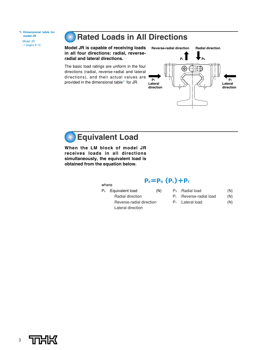**\*1: Dimensional table for model JR** Model JR  $\rightarrow$  pages 9-10

### **Rated Loads in All Directions**

**Model JR is capable of receiving loads in all four directions: radial, reverseradial and lateral directions.**

The basic load ratings are uniform in the four directions (radial, reverse-radial and lateral directions), and their actual values are provided in the dimensional table\*1 for JR.





**When the LM block of model JR receives loads in all directions simultaneously, the equivalent load is obtained from the equation below.**

where

### **PE=PR(PL)+PT**

- $P<sub>E</sub>$ : Equivalent load  $(N)$ ⋅Radial direction ⋅Reverse-radial direction ⋅Lateral direction
- $P_R$  : Radial load  $(N)$
- P<sub>L</sub> : Reverse-radial load (N)
- $P_T$  : Lateral load  $(N)$

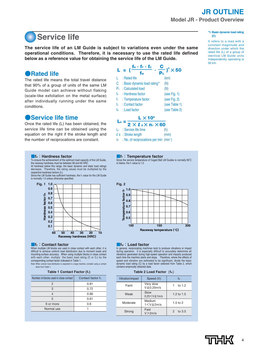### **Service life**

**The service life of an LM Guide is subject to variations even under the same operational conditions. Therefore, it is necessary to use the rated life defined below as a reference value for obtaining the service life of the LM Guide.** 

### ●**Rated life**

The rated life means the total travel distance that 90% of a group of units of the same LM Guide model can achieve without flaking (scale-like exfoliation on the metal surface) after individually running under the same conditions.

### ●**Service life time**

Once the rated life (L) has been obtained, the service life time can be obtained using the equation on the right if the stroke length and the number of reciprocations are constant.

#### **THE**: Hardness factor

To ensure the achievement of the optimum load capacity of the LM Guide, the raceway hardness must be between 58 and 64 HRC At hardness below this range, the basic dynamic and static load ratings decrease. Therefore, the rating values must be multiplied by the respective hardness tactors (t<sub>H</sub>).<br>Since the LM Guide has sufficient hardness, the f<sub>H</sub> value for the LM Guide

is normally 1.0 unless otherwise specified.



#### ■**fc: Contact factor**

When multiple LM blocks are used in close contact with each other, it is difficult to achieve uniform load distribution due to moment loads and mounting-surface accuracy. When using multiple blocks in close contact with each other, multiply the basic load rating (C or  $Co$ ) by the corresponding contact factor indicated in Table 1.

Note: When uneven load distribution is expected in a large machine, consider using a contact factor from Table 1.

| Number of blocks used in close contact I | Contact factor fc |
|------------------------------------------|-------------------|
|                                          | 0.81              |
| З                                        | 0.72              |
|                                          | 0.66              |
| 5                                        | 0.61              |
| 6 or more                                | 0.6               |
| Normal use                               |                   |
|                                          |                   |



 $n_1$  : No. of reciprocations per min (min<sup>-1</sup>)



Since the service temperature of Caged Ball LM Guides is normally 80°C or below, the  $f<sub>T</sub>$  value is 1.0.



#### ■**fW**:**Load factor**

In general, reciprocating machines tend to produce vibrations or impact during operation. It is especially difficult to accurately determine all vibrations generated during high-speed operation and impacts produced each time the machine starts and stops. Therefore, where the effects of speed and vibration are estimated to be significant, divide the basic dynamic load rating (C) by a load factor selected from Table 2, which contains empirically obtained data.

| Table 2 Load Factor $(f_w)$ |  |
|-----------------------------|--|
|-----------------------------|--|

| Vibration/impact | Speed (V)                      | fw                      |
|------------------|--------------------------------|-------------------------|
| Faint            | Very slow<br>$V \leq 0.25$ m/s | to $1.2$                |
| Weak             | Slow<br>$0.25 < V \le 1$ m/s   | 1.2 to $1.5$            |
| Moderate         | Medium<br>$1 < V \leq 2m/s$    | $1.5$ to $2$            |
| Strong           | Fast<br>V > 2m/s               | to 3.5<br>$\mathcal{P}$ |

#### **\*1: Basic dynamic load rating (C)**

It refers to a load with a constant magnitude and direction under which the rated life (L) of a group of identical LM Guide units independently operating is 50 km.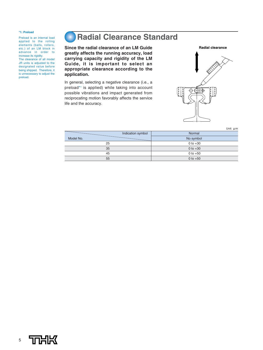#### **\*1: Preload**

Preload is an internal load applied to the rolling elements (balls, rollers, etc.) of an LM block in advance in order to increase its rigidity. The clearance of all model JR units is adjusted to the designated value before being shipped. Therefore, it is unnecessary to adjust the preload.

### **Radial Clearance Standard**

**Since the radial clearance of an LM Guide greatly affects the running accuracy, load carrying capacity and rigidity of the LM Guide, it is important to select an appropriate clearance according to the application.**

In general, selecting a negative clearance (i.e., a preload\*<sup>1</sup> is applied) while taking into account possible vibrations and impact generated from reciprocating motion favorably affects the service life and the accuracy.



|           | Indication symbol | Normal     |
|-----------|-------------------|------------|
| Model No. |                   | No symbol  |
| 25        |                   | 0 to $+30$ |
| 35        |                   | 0 to $+30$ |
| 45        |                   | 0 to $+50$ |
| 55        |                   | 0 to $+50$ |
|           |                   |            |

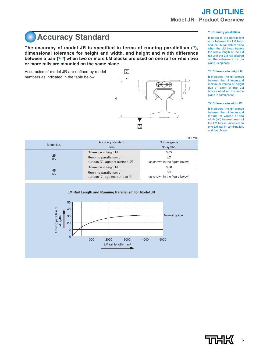### **Accuracy Standard**

**The accuracy of model JR is specified in terms of running parallelism (\*1), dimensional tolerance for height and width, and height and width difference between a pair (\*2, \*3) when two or more LM blocks are used on one rail or when two or more rails are mounted on the same plane.**

Accuracies of model JR are defined by model numbers as indicated in the table below.



#### **\*1: Running parallelism**

It refers to the parallelism error between the LM block and the LM rail datum plane when the LM block travels the whole length of the LM rail with the LM rail secured on the reference datum plane using bolts.

#### **\*2: Difference in height M**

It indicates the difference between the minimum and maximum values of height (M) of each of the LM blocks used on the same plane in combination.

#### **\*3: Difference in width W<sub>2</sub>**

It indicates the difference between the minimum and maximum values of the width (W<sub>2</sub>) between each of the LM blocks, mounted on one LM rail in combination, and the LM rail.

Unit: mm

|           |                                                                           | <b>UIIIL IIIII</b>                           |  |  |
|-----------|---------------------------------------------------------------------------|----------------------------------------------|--|--|
|           | Accuracy standard                                                         | Normal grade                                 |  |  |
| Model No. | <b>Item</b>                                                               | No symbol                                    |  |  |
|           | Difference in height M                                                    | 0.05                                         |  |  |
| 25<br>35  | Running parallelism of<br>surface $\boxed{C}$ against surface $\boxed{A}$ | $\Delta C$<br>(as shown in the figure below) |  |  |
|           | Difference in height M                                                    | 0.06                                         |  |  |
| 45<br>55  | Running parallelism of<br>surface $\boxed{C}$ against surface $\boxed{A}$ | $\Delta C$<br>(as shown in the figure below) |  |  |

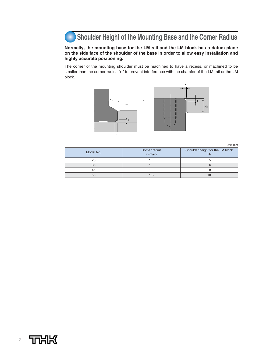### **Shoulder Height of the Mounting Base and the Corner Radius**

#### **Normally, the mounting base for the LM rail and the LM block has a datum plane on the side face of the shoulder of the base in order to allow easy installation and highly accurate positioning.**

The corner of the mounting shoulder must be machined to have a recess, or machined to be smaller than the corner radius "r," to prevent interference with the chamfer of the LM rail or the LM block.



Unit: mm

| Model No. | Corner radius<br>$r$ (max) | Shoulder height for the LM block<br>H2 |
|-----------|----------------------------|----------------------------------------|
| 25        |                            |                                        |
| 35        |                            |                                        |
| 45        |                            |                                        |
| 55        |                            |                                        |

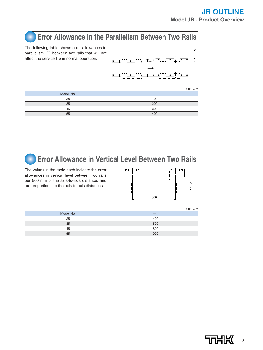### **Error Allowance in the Parallelism Between Two Rails**

The following table shows error allowances in parallelism (P) between two rails that will not affect the service life in normal operation.



|           | Unit: $\mu$ m |
|-----------|---------------|
| Model No. | __            |
| 25        | 100           |
| 35        | 200           |
| 45        | 300           |
| 55        | 400           |



### **Error Allowance in Vertical Level Between Two Rails**

The values in the table each indicate the error allowances in vertical level between two rails per 500 mm of the axis-to-axis distance, and are proportional to the axis-to-axis distances.



Model No. **Analyzing the Contract of Contract Contract of Contract Contract Contract Contract Contract Contract Contract Contract Contract Contract Contract Contract Contract Contract Contract Contract Contract Contract Co** 25 35 45 55 400 500 800 1000 Unit: μm

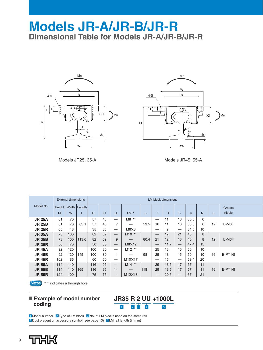### **Models JR-A/JR-B/JR-R Dimensional Table for Models JR-A/JR-B/JR-R**





Models JR25, 35-A Models JR45, 55-A

|               |        | <b>External dimensions</b> |                |     | <b>LM block dimensions</b> |                                 |                    |       |                               |      |                                 |      |    |    |           |
|---------------|--------|----------------------------|----------------|-----|----------------------------|---------------------------------|--------------------|-------|-------------------------------|------|---------------------------------|------|----|----|-----------|
| Model No.     | Height |                            | Width   Length |     |                            |                                 |                    |       |                               |      |                                 |      |    |    | Grease    |
|               | M      | W                          |                | B   | C                          | н                               | $S \times \ell$    | $L_1$ |                               | т    | $T_{1}$                         | K    | N  | E  | nipple    |
| <b>JR 25A</b> | 61     | 70                         |                | 57  | 45                         | —                               | $M8$ **            |       | –                             | 11   | 16                              | 30.5 | 6  |    |           |
| <b>JR 25B</b> | 61     | 70                         | 83.1           | 57  | 45                         | 7                               |                    | 59.5  | 16                            | 11   | 10                              | 30.5 | 6  | 12 | B-M6F     |
| <b>JR 25R</b> | 65     | 48                         |                | 35  | 35                         |                                 | M6X8               |       |                               | 9    |                                 | 34.5 | 10 |    |           |
| <b>JR 35A</b> | 73     | 100                        |                | 82  | 62                         | $\overline{\phantom{m}}$        | M10 **             |       |                               | 12   | 21                              | 40   | 8  |    |           |
| <b>JR 35B</b> | 73     | 100                        | 113.6          | 82  | 62                         | 9                               | —                  | 80.4  | 21                            | 12   | 13                              | 40   | 8  | 12 | B-M6F     |
| <b>JR 35R</b> | 80     | 70                         |                | 50  | 50                         | $\hspace{0.1mm}-\hspace{0.1mm}$ | M8×12              |       | $\overbrace{\phantom{aaaaa}}$ | 11.7 | $\hspace{0.1mm}-\hspace{0.1mm}$ | 47.4 | 15 |    |           |
| <b>JR 45A</b> | 92     | 120                        |                | 100 | 80                         |                                 | M <sub>12</sub> ** |       | 25                            | 13   | 15                              | 50   | 10 |    |           |
| <b>JR 45B</b> | 92     | 120                        | 145            | 100 | 80                         | 11                              | –                  | 98    | 25                            | 13   | 15                              | 50   | 10 | 16 | $B-PT1/8$ |
| <b>JR 45R</b> | 102    | 86                         |                | 60  | 60                         |                                 | M10×17             |       |                               | 15   |                                 | 59.4 | 20 |    |           |
| <b>JR 55A</b> | 114    | 140                        |                | 116 | 95                         | $\hspace{0.1mm}-\hspace{0.1mm}$ | $M14$ **           |       | 29                            | 13.5 | 17                              | 57   | 11 |    |           |
| <b>JR 55B</b> | 114    | 140                        | 165            | 116 | 95                         | 14                              | –                  | 118   | 29                            | 13.5 | 17                              | 57   | 11 | 16 | $B-PT1/8$ |
| <b>JR 55R</b> | 124    | 100                        |                | 75  | 75                         | $\hspace{0.1mm}-\hspace{0.1mm}$ | M12×18             |       |                               | 20.5 | $\hspace{0.1mm}-\hspace{0.1mm}$ | 67   | 21 |    |           |

**Note** "\*\*" indicates a through hole.

### ■ **Example of model number coding**

### **JR35 R 2 UU +1000L**  $\frac{1}{1}$   $\frac{1}{2}$   $\frac{1}{3}$   $\frac{1}{4}$   $\frac{1}{5}$

**I** Model number 2 Type of LM block **3 No. of LM blocks used on the same rail** 4 Dust prevention accessory symbol (see page 13) 5 LM rail length (in mm)

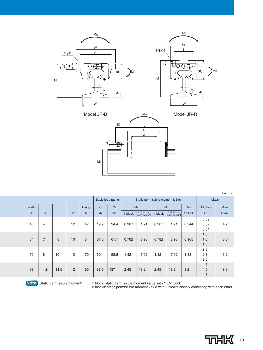





|       |                |                |            |                |              |                   |                                 |                              |         |                              |         |             | Unit: mm |
|-------|----------------|----------------|------------|----------------|--------------|-------------------|---------------------------------|------------------------------|---------|------------------------------|---------|-------------|----------|
|       |                |                |            |                |              | Basic load rating | Static permissible moment kN-m* |                              |         |                              |         | <b>Mass</b> |          |
| Width |                |                |            | Height         | $\mathsf{C}$ | C <sub>0</sub>    |                                 | M <sub>A</sub>               |         | M <sub>B</sub>               | Mc      | LM block    | LM rail  |
| $W_1$ | $J_1$          | J <sub>2</sub> | $\theta$ ° | M <sub>1</sub> | kN           | kN                | 1 block                         | 2 blocks in<br>close contact | 1 block | 2 blocks in<br>close contact | I block | kg          | kg/m     |
|       |                |                |            |                |              |                   |                                 |                              |         |                              |         | 0.59        |          |
| 48    | 4              | 5              | 12         | 47             | 19.9         | 34.4              | 0.307                           | 1.71                         | 0.307   | 1.71                         | 0.344   | 0.59        | 4.2      |
|       |                |                |            |                |              |                   |                                 |                              |         |                              |         | 0.54        |          |
|       |                |                |            |                |              |                   |                                 |                              |         |                              |         | 1.6         |          |
| 54    | $\overline{7}$ | 8              | 10         | 54             | 37.3         | 61.1              | 0.782                           | 3.93                         | 0.782   | 3.93                         | 0.905   | 1.6         | 8.6      |
|       |                |                |            |                |              |                   |                                 |                              |         |                              |         | 1.5         |          |
|       |                |                |            |                |              |                   |                                 |                              |         |                              |         | 2.8         |          |
| 70    | 8              | 10             | 10         | 70             | 60           | 95.6              | 1.42                            | 7.92                         | 1.42    | 7.92                         | 1.83    | 2.8         | 15.2     |
|       |                |                |            |                |              |                   |                                 |                              |         |                              |         | 2.6         |          |
|       |                |                |            |                |              |                   |                                 |                              |         |                              |         | 4.5         |          |
| 93    | 4.8            | 11.6           | 12         | 90             | 88.5         | 137               | 2.45                            | 13.2                         | 2.45    | 13.2                         | 3.2     | 4.5         | 18.3     |
|       |                |                |            |                |              |                   |                                 |                              |         |                              |         | 4.3         |          |

Note) Static permissible moment\*: 1 block: static permissible moment value with 1 LM block<br>2 blocks: static permissible moment value with 2 blocks closely contacting with each other

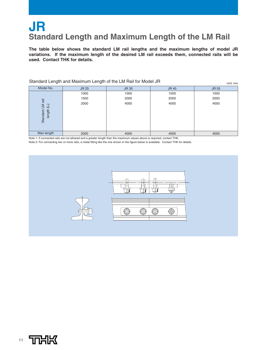### **JR Standard Length and Maximum Length of the LM Rail**

**The table below shows the standard LM rail lengths and the maximum lengths of model JR variations. If the maximum length of the desired LM rail exceeds them, connected rails will be used. Contact THK for details.**

| Standard Length and Maximum Length of the Livi Hall for Model JR<br>Unit: mm |       |              |              |              |  |  |  |  |  |
|------------------------------------------------------------------------------|-------|--------------|--------------|--------------|--|--|--|--|--|
| Model No.                                                                    | JR 25 | <b>JR 35</b> | <b>JR 45</b> | <b>JR 55</b> |  |  |  |  |  |
|                                                                              | 1000  | 1000         | 1000         | 1000         |  |  |  |  |  |
| $\overline{\overline{\overline{a}}}$                                         | 1500  | 2000         | 2000         | 2000         |  |  |  |  |  |
| $\bigcup$<br>$\overline{\mathbb{N}}$<br>length<br>Standard                   | 2000  | 4000         | 4000         | 4000         |  |  |  |  |  |
| Max length                                                                   | 2000  | 4000         | 4000         | 4000         |  |  |  |  |  |

Standard Length and Maximum Length of the LM Rail for Model JR

Note 1: If connected rails are not allowed and a greater length than the maximum values above is required, contact THK.

Note 2: For connecting two or more rails, a metal fitting like the one shown in the figure below is available. Contact THK for details.



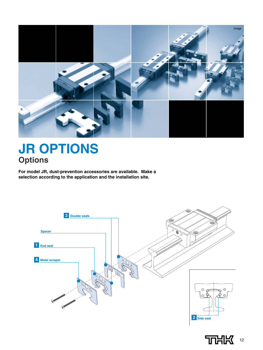

## **JR OPTIONS Options**

**For model JR, dust-prevention accessories are available. Make a selection according to the application and the installation site.**



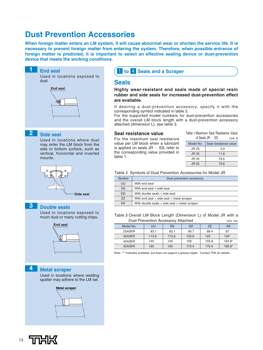### **Dust Prevention Accessories**

**When foreign matter enters an LM system, it will cause abnormal wear or shorten the service life. It is necessary to prevent foreign matter from entering the system. Therefore, when possible entrance of foreign matter is predicted, it is important to select an effective sealing device or dust-prevention device that meets the working conditions.**



Used in locations where welding spatter may adhere to the LM rail.



### **Seals**

**Highly wear-resistant end seals made of special resin rubber and side seals for increased dust-prevention effect are available.**

If desiring a dust-prevention accessory, specify it with the corresponding symbol indicated in table 2.

For the supported model numbers for dust-prevention accessories and the overall LM block length with a dust-prevention accessory attached (dimension L), see table 3.

#### **Seal resistance value**

For the maximum seal resistance value per LM block when a lubricant is applied on seals JR … SS, refer to the corresponding value provided in table 1.

|              | of Seals $JR \cdots SS$<br>Unit: N |
|--------------|------------------------------------|
| Model No.    | Seal resistance value              |
| JR 25        | 3.9                                |
| <b>JR 35</b> | 11.8                               |
| JR 45        | 19.6                               |
| JR 55        | 19.6                               |

Table 1 Maximum Seal Resistance Value

Table 2 Symbols of Dust Prevention Accessories for Model JR

| Symbol    | Dust prevention accessory                         |  |  |  |  |  |
|-----------|---------------------------------------------------|--|--|--|--|--|
| UU        | With end seal                                     |  |  |  |  |  |
| <b>SS</b> | With end seal + side seal                         |  |  |  |  |  |
| <b>DD</b> | With double seals + side seal                     |  |  |  |  |  |
| 77        | With end seal $+$ side seal $+$ metal scraper     |  |  |  |  |  |
| <b>KK</b> | With double seals $+$ side seal $+$ metal scraper |  |  |  |  |  |

Table 3 Overall LM Block Length (Dimension L) of Model JR with a Dust Prevention Accessory Attached Unit: mm

|           | <b>DUST TOVORIUSIT/10003301 y / MIQUITOU</b> |       |           |           |           |  |  |  |
|-----------|----------------------------------------------|-------|-----------|-----------|-----------|--|--|--|
| Model No. | UU                                           | SS    | <b>DD</b> | <b>ZZ</b> | <b>KK</b> |  |  |  |
| 25A/B/R   | 83.1                                         | 83.1  | 90.7      | 89.4      | 97        |  |  |  |
| 35A/B/R   | 113.6                                        | 113.6 | 125.6     | 122       | $134*$    |  |  |  |
| 45A/B/R   | 145                                          | 145   | 159       | 150.8     | $164.8*$  |  |  |  |
| 55A/B/R   | 165                                          | 165   | 175.4     | 170.4     | 180.8*    |  |  |  |

Note: "\*" indicates available, but does not support a grease nipple. Contact THK for details.

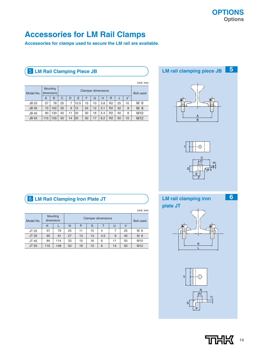### **Accessories for LM Rail Clamps**

**Accessories for clamps used to secure the LM rail are available.**

### **5 LM Rail Clamping Piece JB**

|              |     |                        |                           |    |      |    |    |                  |                |    |            | Unit: mm        |
|--------------|-----|------------------------|---------------------------|----|------|----|----|------------------|----------------|----|------------|-----------------|
| Model No.    |     | Mounting<br>dimensions | <b>Clamper dimensions</b> |    |      |    |    | <b>Bolt used</b> |                |    |            |                 |
|              | A   | B                      | C                         | D  | E    | F  | G  | н                | R              | J  | $\theta$ ° |                 |
| <b>JB 25</b> | 57  | 78                     | 25                        | 7  | 10.5 | 15 | 10 | 3.8              | R <sub>2</sub> | 25 | 10         | M 6             |
| <b>JB 35</b> | 72  | 102                    | 35                        | 9  | 15   | 24 | 12 | 3.1              | R <sub>2</sub> | 32 | 8          | $M_8$           |
| <b>JB 45</b> | 90  | 130                    | 45                        | 11 | 20   | 30 | 16 | 5.4              | R <sub>2</sub> | 40 | 8          | M <sub>10</sub> |
| <b>JB 55</b> | 115 | 155                    | 50                        | 14 | 20   | 30 | 17 | 8.2              | R <sub>2</sub> | 50 | 10         | M <sub>12</sub> |

## **5 LM rail clamping piece JB**





### **LM rail clamping iron**

**plate JT**



L



### **6 LM Rail Clamping Iron Plate JT**

|  |           |          |            |    |                  |    |                |    |    | Unit: mm        |
|--|-----------|----------|------------|----|------------------|----|----------------|----|----|-----------------|
|  | Model No. | Mounting | dimensions |    | <b>Bolt used</b> |    |                |    |    |                 |
|  |           | K        |            | N  | P                | S  |                | U  |    |                 |
|  | JT 25     | 57       | 79         | 25 | 11               | 10 | $\overline{4}$ |    | 25 | M 6             |
|  | JT 35     | 65       | 91         | 27 | 13               | 13 | 4.5            | 9  | 40 | M 8             |
|  | JT 45     | 84       | 114        | 33 | 15               | 16 | 6              | 11 | 50 | M <sub>10</sub> |
|  | JT 55     | 110      | 148        | 50 | 19               | 15 | 6              | 14 | 50 | M <sub>12</sub> |